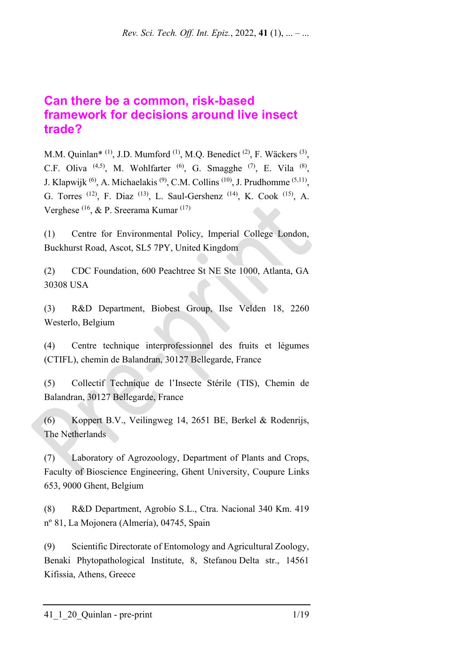# **Can there be a common, risk-based framework for decisions around live insect trade?**

M.M. Quinlan\*  $(1)$ , J.D. Mumford  $(1)$ , M.O. Benedict  $(2)$ , F. Wäckers  $(3)$ , C.F. Oliva  $(4,5)$ , M. Wohlfarter  $(6)$ , G. Smagghe  $(7)$ , E. Vila  $(8)$ , J. Klapwijk <sup>(6)</sup>, A. Michaelakis <sup>(9)</sup>, C.M. Collins <sup>(10)</sup>, J. Prudhomme <sup>(5,11)</sup>, G. Torres <sup>(12)</sup>, F. Diaz <sup>(13)</sup>, L. Saul-Gershenz <sup>(14)</sup>, K. Cook <sup>(15)</sup>, A. Verghese <sup>(16</sup>, & P. Sreerama Kumar <sup>(17)</sup>

(1) Centre for Environmental Policy, Imperial College London, Buckhurst Road, Ascot, SL5 7PY, United Kingdom

(2) CDC Foundation, [600 Peachtree St NE Ste 1000, Atlanta, GA](https://www.bing.com/local?lid=YN873x13132459592735182926&id=YN873x13132459592735182926&q=CDC+Foundation&name=CDC+Foundation&cp=33.77095031738281%7e-84.3861083984375&ppois=33.77095031738281_-84.3861083984375_CDC+Foundation)  [30308](https://www.bing.com/local?lid=YN873x13132459592735182926&id=YN873x13132459592735182926&q=CDC+Foundation&name=CDC+Foundation&cp=33.77095031738281%7e-84.3861083984375&ppois=33.77095031738281_-84.3861083984375_CDC+Foundation) USA

(3) R&D Department, Biobest Group, Ilse Velden 18, 2260 Westerlo, Belgium

(4) Centre technique interprofessionnel des fruits et légumes (CTIFL), chemin de Balandran, 30127 Bellegarde, France

(5) Collectif Technique de l'Insecte Stérile (TIS), Chemin de Balandran, 30127 Bellegarde, France

(6) Koppert B.V., Veilingweg 14, 2651 BE, Berkel & Rodenrijs, The Netherlands

(7) Laboratory of Agrozoology, Department of Plants and Crops, Faculty of Bioscience Engineering, Ghent University, Coupure Links 653, 9000 Ghent, Belgium

(8) R&D Department, Agrobío S.L., Ctra. Nacional 340 Km. 419 nº 81, La Mojonera (Almería), 04745, Spain

(9) Scientific Directorate of Entomology and Agricultural Zoology, Benaki Phytopathological Institute, 8, Stefanou Delta str., 14561 Kifissia, Athens, Greece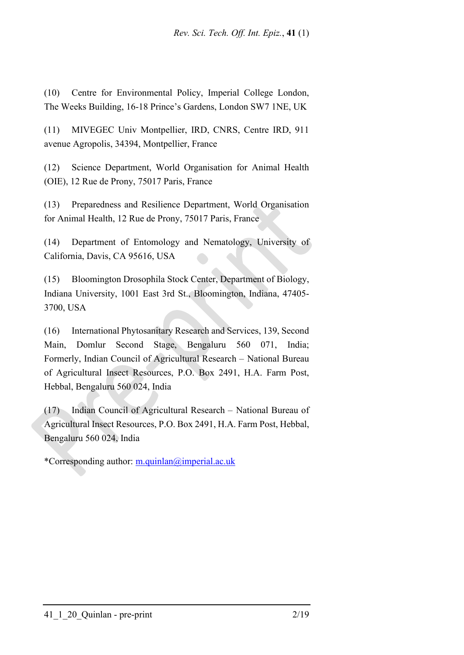(10) Centre for Environmental Policy, Imperial College London, The Weeks Building, 16-18 Prince's Gardens, London SW7 1NE, UK

(11) MIVEGEC Univ Montpellier, IRD, CNRS, Centre IRD, 911 avenue Agropolis, 34394, Montpellier, France

(12) Science Department, World Organisation for Animal Health (OIE), 12 Rue de Prony, 75017 Paris, France

(13) Preparedness and Resilience Department, World Organisation for Animal Health, 12 Rue de Prony, 75017 Paris, France

(14) Department of Entomology and Nematology, University of California, Davis, CA 95616, USA

(15) Bloomington Drosophila Stock Center, Department of Biology, Indiana University, 1001 East 3rd St., Bloomington, Indiana, 47405- 3700, USA

(16) International Phytosanitary Research and Services, 139, Second Main, Domlur Second Stage, Bengaluru 560 071, India; Formerly, Indian Council of Agricultural Research – National Bureau of Agricultural Insect Resources, P.O. Box 2491, H.A. Farm Post, Hebbal, Bengaluru 560 024, India

(17) Indian Council of Agricultural Research – National Bureau of Agricultural Insect Resources, P.O. Box 2491, H.A. Farm Post, Hebbal, Bengaluru 560 024, India

\*Corresponding author: [m.quinlan@imperial.ac.uk](mailto:m.quinlan@imperial.ac.uk)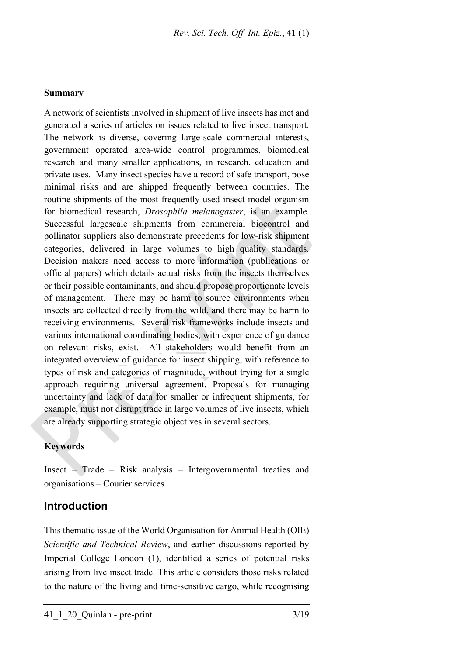#### **Summary**

A network of scientists involved in shipment of live insects has met and generated a series of articles on issues related to live insect transport. The network is diverse, covering large-scale commercial interests, government operated area-wide control programmes, biomedical research and many smaller applications, in research, education and private uses. Many insect species have a record of safe transport, pose minimal risks and are shipped frequently between countries. The routine shipments of the most frequently used insect model organism for biomedical research, *Drosophila melanogaster*, is an example. Successful largescale shipments from commercial biocontrol and pollinator suppliers also demonstrate precedents for low-risk shipment categories, delivered in large volumes to high quality standards. Decision makers need access to more information (publications or official papers) which details actual risks from the insects themselves or their possible contaminants, and should propose proportionate levels of management. There may be harm to source environments when insects are collected directly from the wild, and there may be harm to receiving environments. Several risk frameworks include insects and various international coordinating bodies, with experience of guidance on relevant risks, exist. All stakeholders would benefit from an integrated overview of guidance for insect shipping, with reference to types of risk and categories of magnitude, without trying for a single approach requiring universal agreement. Proposals for managing uncertainty and lack of data for smaller or infrequent shipments, for example, must not disrupt trade in large volumes of live insects, which are already supporting strategic objectives in several sectors.

#### **Keywords**

Insect – Trade – Risk analysis – Intergovernmental treaties and organisations – Courier services

### **Introduction**

This thematic issue of the World Organisation for Animal Health (OIE) *Scientific and Technical Review*, and earlier discussions reported by Imperial College London (1), identified a series of potential risks arising from live insect trade. This article considers those risks related to the nature of the living and time-sensitive cargo, while recognising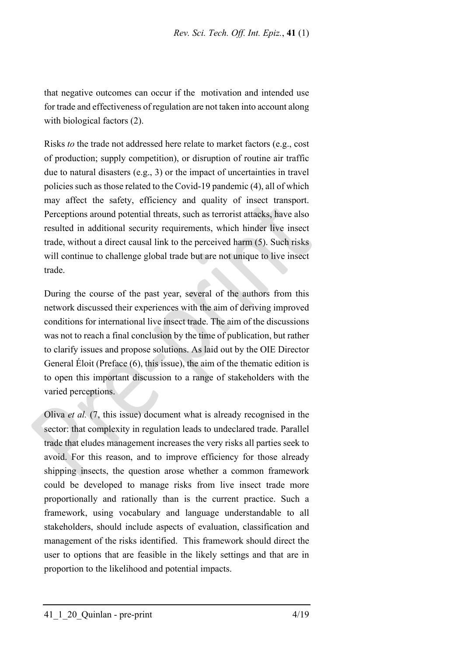that negative outcomes can occur if the motivation and intended use for trade and effectiveness of regulation are not taken into account along with biological factors (2).

Risks *to* the trade not addressed here relate to market factors (e.g., cost of production; supply competition), or disruption of routine air traffic due to natural disasters (e.g., 3) or the impact of uncertainties in travel policies such as those related to the Covid-19 pandemic (4), all of which may affect the safety, efficiency and quality of insect transport. Perceptions around potential threats, such as terrorist attacks, have also resulted in additional security requirements, which hinder live insect trade, without a direct causal link to the perceived harm (5). Such risks will continue to challenge global trade but are not unique to live insect trade.

During the course of the past year, several of the authors from this network discussed their experiences with the aim of deriving improved conditions for international live insect trade. The aim of the discussions was not to reach a final conclusion by the time of publication, but rather to clarify issues and propose solutions. As laid out by the OIE Director General Éloit (Preface (6), this issue), the aim of the thematic edition is to open this important discussion to a range of stakeholders with the varied perceptions.

Oliva *et al.* (7, this issue) document what is already recognised in the sector: that complexity in regulation leads to undeclared trade. Parallel trade that eludes management increases the very risks all parties seek to avoid. For this reason, and to improve efficiency for those already shipping insects, the question arose whether a common framework could be developed to manage risks from live insect trade more proportionally and rationally than is the current practice. Such a framework, using vocabulary and language understandable to all stakeholders, should include aspects of evaluation, classification and management of the risks identified. This framework should direct the user to options that are feasible in the likely settings and that are in proportion to the likelihood and potential impacts.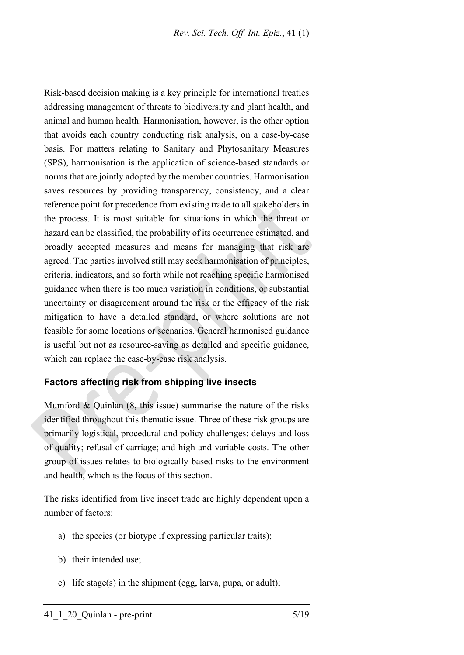Risk-based decision making is a key principle for international treaties addressing management of threats to biodiversity and plant health, and animal and human health. Harmonisation, however, is the other option that avoids each country conducting risk analysis, on a case-by-case basis. For matters relating to Sanitary and Phytosanitary Measures (SPS), harmonisation is the application of science-based standards or norms that are jointly adopted by the member countries. Harmonisation saves resources by providing transparency, consistency, and a clear reference point for precedence from existing trade to all stakeholders in the process. It is most suitable for situations in which the threat or hazard can be classified, the probability of its occurrence estimated, and broadly accepted measures and means for managing that risk are agreed. The parties involved still may seek harmonisation of principles, criteria, indicators, and so forth while not reaching specific harmonised guidance when there is too much variation in conditions, or substantial uncertainty or disagreement around the risk or the efficacy of the risk mitigation to have a detailed standard, or where solutions are not feasible for some locations or scenarios. General harmonised guidance is useful but not as resource-saving as detailed and specific guidance, which can replace the case-by-case risk analysis.

### **Factors affecting risk from shipping live insects**

Mumford & Quinlan (8, this issue) summarise the nature of the risks identified throughout this thematic issue. Three of these risk groups are primarily logistical, procedural and policy challenges: delays and loss of quality; refusal of carriage; and high and variable costs. The other group of issues relates to biologically-based risks to the environment and health, which is the focus of this section.

The risks identified from live insect trade are highly dependent upon a number of factors:

- a) the species (or biotype if expressing particular traits);
- b) their intended use;
- c) life stage(s) in the shipment (egg, larva, pupa, or adult);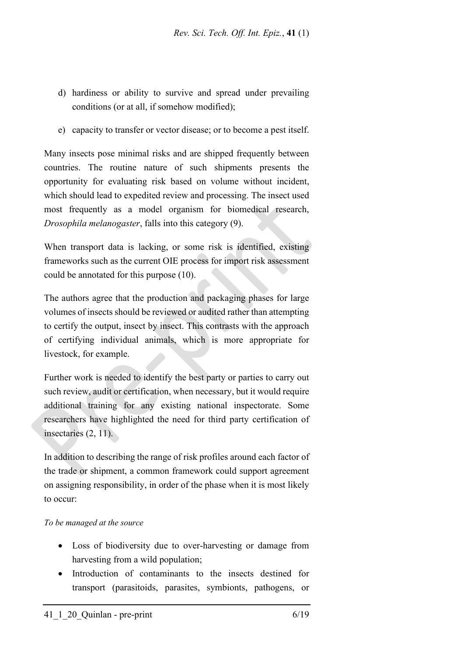- d) hardiness or ability to survive and spread under prevailing conditions (or at all, if somehow modified);
- e) capacity to transfer or vector disease; or to become a pest itself.

Many insects pose minimal risks and are shipped frequently between countries. The routine nature of such shipments presents the opportunity for evaluating risk based on volume without incident, which should lead to expedited review and processing. The insect used most frequently as a model organism for biomedical research, *Drosophila melanogaster*, falls into this category (9).

When transport data is lacking, or some risk is identified, existing frameworks such as the current OIE process for import risk assessment could be annotated for this purpose (10).

The authors agree that the production and packaging phases for large volumes of insects should be reviewed or audited rather than attempting to certify the output, insect by insect. This contrasts with the approach of certifying individual animals, which is more appropriate for livestock, for example.

Further work is needed to identify the best party or parties to carry out such review, audit or certification, when necessary, but it would require additional training for any existing national inspectorate. Some researchers have highlighted the need for third party certification of insectaries (2, 11).

In addition to describing the range of risk profiles around each factor of the trade or shipment, a common framework could support agreement on assigning responsibility, in order of the phase when it is most likely to occur:

#### *To be managed at the source*

- Loss of biodiversity due to over-harvesting or damage from harvesting from a wild population;
- Introduction of contaminants to the insects destined for transport (parasitoids, parasites, symbionts, pathogens, or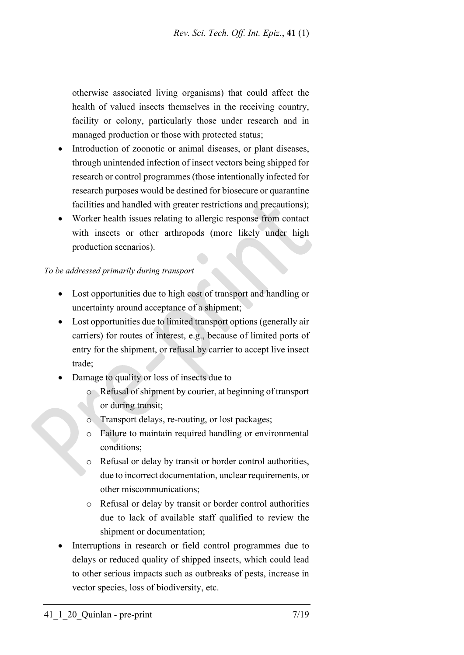otherwise associated living organisms) that could affect the health of valued insects themselves in the receiving country, facility or colony, particularly those under research and in managed production or those with protected status;

- Introduction of zoonotic or animal diseases, or plant diseases, through unintended infection of insect vectors being shipped for research or control programmes (those intentionally infected for research purposes would be destined for biosecure or quarantine facilities and handled with greater restrictions and precautions);
- Worker health issues relating to allergic response from contact with insects or other arthropods (more likely under high production scenarios).

#### *To be addressed primarily during transport*

- Lost opportunities due to high cost of transport and handling or uncertainty around acceptance of a shipment;
- Lost opportunities due to limited transport options (generally air carriers) for routes of interest, e.g., because of limited ports of entry for the shipment, or refusal by carrier to accept live insect trade;
- Damage to quality or loss of insects due to
	- o Refusal of shipment by courier, at beginning of transport or during transit;
	- o Transport delays, re-routing, or lost packages;
	- o Failure to maintain required handling or environmental conditions;
	- o Refusal or delay by transit or border control authorities, due to incorrect documentation, unclear requirements, or other miscommunications;
	- o Refusal or delay by transit or border control authorities due to lack of available staff qualified to review the shipment or documentation;
- Interruptions in research or field control programmes due to delays or reduced quality of shipped insects, which could lead to other serious impacts such as outbreaks of pests, increase in vector species, loss of biodiversity, etc.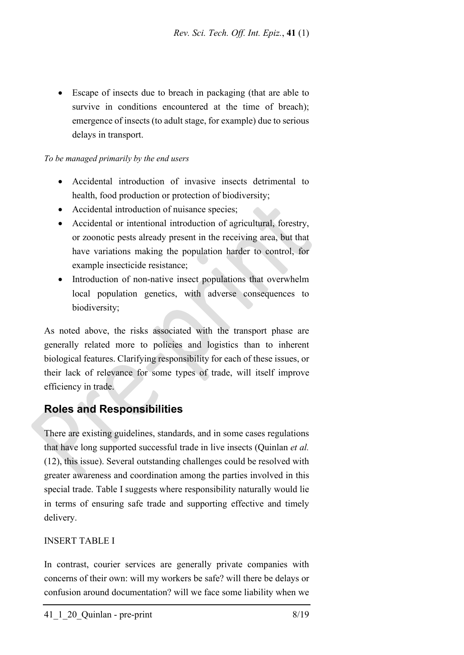• Escape of insects due to breach in packaging (that are able to survive in conditions encountered at the time of breach); emergence of insects (to adult stage, for example) due to serious delays in transport.

#### *To be managed primarily by the end users*

- Accidental introduction of invasive insects detrimental to health, food production or protection of biodiversity;
- Accidental introduction of nuisance species;
- Accidental or intentional introduction of agricultural, forestry, or zoonotic pests already present in the receiving area, but that have variations making the population harder to control, for example insecticide resistance;
- Introduction of non-native insect populations that overwhelm local population genetics, with adverse consequences to biodiversity;

As noted above, the risks associated with the transport phase are generally related more to policies and logistics than to inherent biological features. Clarifying responsibility for each of these issues, or their lack of relevance for some types of trade, will itself improve efficiency in trade.

# **Roles and Responsibilities**

There are existing guidelines, standards, and in some cases regulations that have long supported successful trade in live insects (Quinlan *et al.* (12), this issue). Several outstanding challenges could be resolved with greater awareness and coordination among the parties involved in this special trade. Table I suggests where responsibility naturally would lie in terms of ensuring safe trade and supporting effective and timely delivery.

### INSERT TABLE I

In contrast, courier services are generally private companies with concerns of their own: will my workers be safe? will there be delays or confusion around documentation? will we face some liability when we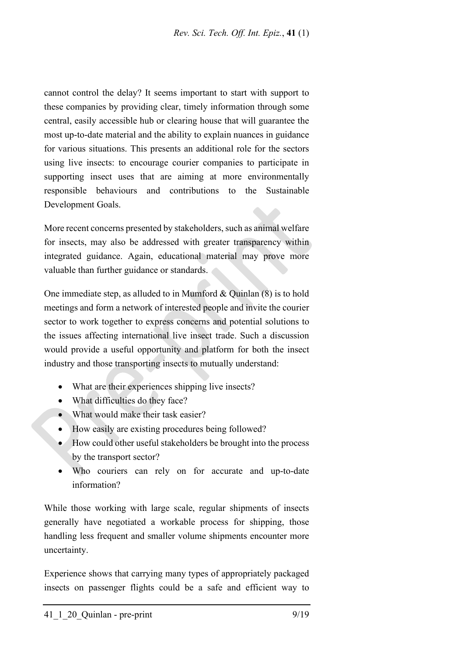cannot control the delay? It seems important to start with support to these companies by providing clear, timely information through some central, easily accessible hub or clearing house that will guarantee the most up-to-date material and the ability to explain nuances in guidance for various situations. This presents an additional role for the sectors using live insects: to encourage courier companies to participate in supporting insect uses that are aiming at more environmentally responsible behaviours and contributions to the Sustainable Development Goals.

More recent concerns presented by stakeholders, such as animal welfare for insects, may also be addressed with greater transparency within integrated guidance. Again, educational material may prove more valuable than further guidance or standards.

One immediate step, as alluded to in Mumford  $&$  Quinlan  $(8)$  is to hold meetings and form a network of interested people and invite the courier sector to work together to express concerns and potential solutions to the issues affecting international live insect trade. Such a discussion would provide a useful opportunity and platform for both the insect industry and those transporting insects to mutually understand:

- What are their experiences shipping live insects?
- What difficulties do they face?
- What would make their task easier?
- How easily are existing procedures being followed?
- How could other useful stakeholders be brought into the process by the transport sector?
- Who couriers can rely on for accurate and up-to-date information?

While those working with large scale, regular shipments of insects generally have negotiated a workable process for shipping, those handling less frequent and smaller volume shipments encounter more uncertainty.

Experience shows that carrying many types of appropriately packaged insects on passenger flights could be a safe and efficient way to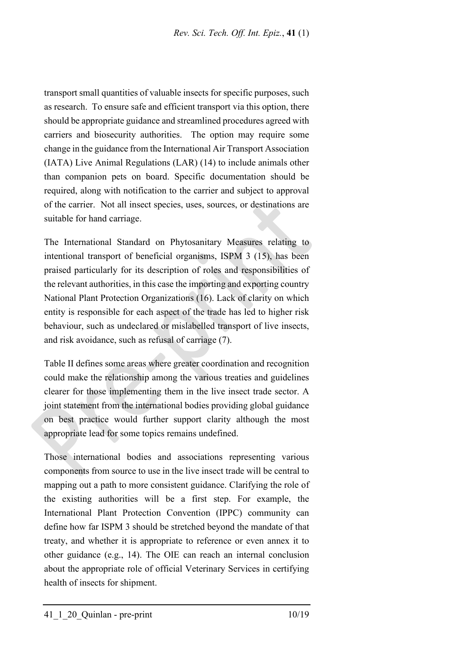transport small quantities of valuable insects for specific purposes, such as research. To ensure safe and efficient transport via this option, there should be appropriate guidance and streamlined procedures agreed with carriers and biosecurity authorities. The option may require some change in the guidance from the International Air Transport Association (IATA) Live Animal Regulations (LAR) (14) to include animals other than companion pets on board. Specific documentation should be required, along with notification to the carrier and subject to approval of the carrier. Not all insect species, uses, sources, or destinations are suitable for hand carriage.

The International Standard on Phytosanitary Measures relating to intentional transport of beneficial organisms, ISPM 3 (15), has been praised particularly for its description of roles and responsibilities of the relevant authorities, in this case the importing and exporting country National Plant Protection Organizations (16). Lack of clarity on which entity is responsible for each aspect of the trade has led to higher risk behaviour, such as undeclared or mislabelled transport of live insects, and risk avoidance, such as refusal of carriage (7).

Table II defines some areas where greater coordination and recognition could make the relationship among the various treaties and guidelines clearer for those implementing them in the live insect trade sector. A joint statement from the international bodies providing global guidance on best practice would further support clarity although the most appropriate lead for some topics remains undefined.

Those international bodies and associations representing various components from source to use in the live insect trade will be central to mapping out a path to more consistent guidance. Clarifying the role of the existing authorities will be a first step. For example, the International Plant Protection Convention (IPPC) community can define how far ISPM 3 should be stretched beyond the mandate of that treaty, and whether it is appropriate to reference or even annex it to other guidance (e.g., 14). The OIE can reach an internal conclusion about the appropriate role of official Veterinary Services in certifying health of insects for shipment.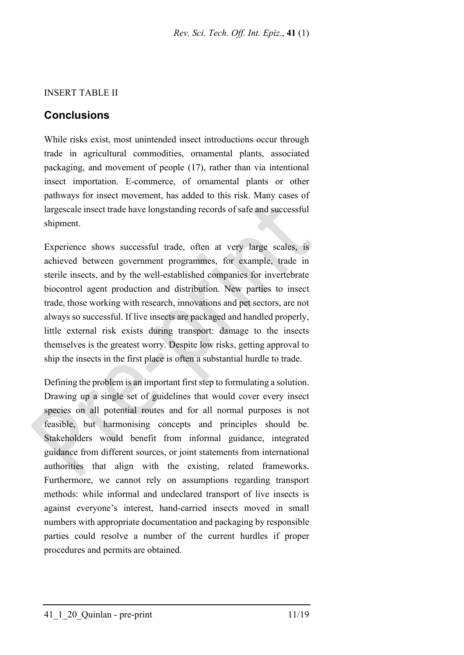### INSERT TABLE II

# **Conclusions**

While risks exist, most unintended insect introductions occur through trade in agricultural commodities, ornamental plants, associated packaging, and movement of people (17), rather than via intentional insect importation. E-commerce, of ornamental plants or other pathways for insect movement, has added to this risk. Many cases of largescale insect trade have longstanding records of safe and successful shipment.

Experience shows successful trade, often at very large scales, is achieved between government programmes, for example, trade in sterile insects, and by the well-established companies for invertebrate biocontrol agent production and distribution. New parties to insect trade, those working with research, innovations and pet sectors, are not always so successful. If live insects are packaged and handled properly, little external risk exists during transport: damage to the insects themselves is the greatest worry. Despite low risks, getting approval to ship the insects in the first place is often a substantial hurdle to trade.

Defining the problem is an important first step to formulating a solution. Drawing up a single set of guidelines that would cover every insect species on all potential routes and for all normal purposes is not feasible, but harmonising concepts and principles should be. Stakeholders would benefit from informal guidance, integrated guidance from different sources, or joint statements from international authorities that align with the existing, related frameworks. Furthermore, we cannot rely on assumptions regarding transport methods: while informal and undeclared transport of live insects is against everyone's interest, hand-carried insects moved in small numbers with appropriate documentation and packaging by responsible parties could resolve a number of the current hurdles if proper procedures and permits are obtained.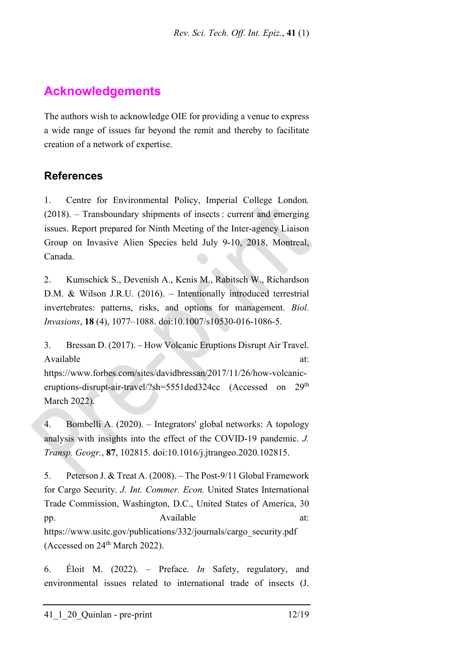# **Acknowledgements**

The authors wish to acknowledge OIE for providing a venue to express a wide range of issues far beyond the remit and thereby to facilitate creation of a network of expertise.

# **References**

1. Centre for Environmental Policy, Imperial College London. (2018). – Transboundary shipments of insects : current and emerging issues. Report prepared for Ninth Meeting of the Inter-agency Liaison Group on Invasive Alien Species held July 9-10, 2018, Montreal, Canada.

2. Kumschick S., Devenish A., Kenis M., Rabitsch W., Richardson D.M. & Wilson J.R.U. (2016). – Intentionally introduced terrestrial invertebrates: patterns, risks, and options for management. *Biol. Invasions*, **18** (4), 1077–1088. doi:10.1007/s10530-016-1086-5.

3. Bressan D. (2017). – How Volcanic Eruptions Disrupt Air Travel. Available at: https://www.forbes.com/sites/davidbressan/2017/11/26/how-volcaniceruptions-disrupt-air-travel/?sh=5551ded324cc (Accessed on 29th March 2022).

4. Bombelli A. (2020). – Integrators' global networks: A topology analysis with insights into the effect of the COVID-19 pandemic. *J. Transp. Geogr.*, **87**, 102815. doi:10.1016/j.jtrangeo.2020.102815.

5. Peterson J. & Treat A. (2008). – The Post-9/11 Global Framework for Cargo Security. *J. Int. Commer. Econ.* United States International Trade Commission, Washington, D.C., United States of America, 30 pp. Available at: https://www.usitc.gov/publications/332/journals/cargo\_security.pdf (Accessed on 24<sup>th</sup> March 2022).

6. Éloit M. (2022). – Preface. *In* Safety, regulatory, and environmental issues related to international trade of insects (J.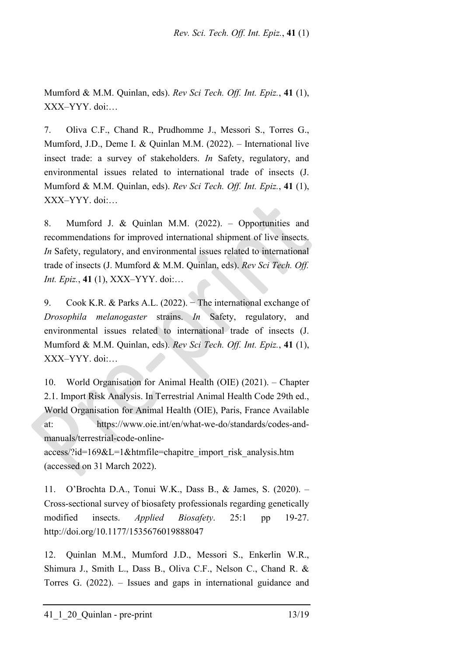Mumford & M.M. Quinlan, eds). *Rev Sci Tech. Off. Int. Epiz.*, **41** (1), XXX–YYY. doi:…

7. Oliva C.F., Chand R., Prudhomme J., Messori S., Torres G., Mumford, J.D., Deme I. & Quinlan M.M. (2022). – International live insect trade: a survey of stakeholders. *In* Safety, regulatory, and environmental issues related to international trade of insects (J. Mumford & M.M. Quinlan, eds). *Rev Sci Tech. Off. Int. Epiz.*, **41** (1), XXX–YYY. doi:…

8. Mumford J. & Quinlan M.M. (2022). – Opportunities and recommendations for improved international shipment of live insects. *In* Safety, regulatory, and environmental issues related to international trade of insects (J. Mumford & M.M. Quinlan, eds). *Rev Sci Tech. Off. Int. Epiz.*, **41** (1), XXX–YYY. doi:…

9. Cook K.R. & Parks A.L. (2022). − The international exchange of *Drosophila melanogaster* strains. *In* Safety, regulatory, and environmental issues related to international trade of insects (J. Mumford & M.M. Quinlan, eds). *Rev Sci Tech. Off. Int. Epiz.*, **41** (1), XXX–YYY. doi:…

10. World Organisation for Animal Health (OIE) (2021). – Chapter 2.1. Import Risk Analysis. In Terrestrial Animal Health Code 29th ed., World Organisation for Animal Health (OIE), Paris, France Available at: https://www.oie.int/en/what-we-do/standards/codes-andmanuals/terrestrial-code-online-

access/?id=169&L=1&htmfile=chapitre\_import\_risk\_analysis.htm (accessed on 31 March 2022).

11. O'Brochta D.A., Tonui W.K., Dass B., & James, S. (2020). – Cross-sectional survey of biosafety professionals regarding genetically modified insects. *Applied Biosafety*. 25:1 pp 19-27. http://doi.org/10.1177/1535676019888047

12. Quinlan M.M., Mumford J.D., Messori S., Enkerlin W.R., Shimura J., Smith L., Dass B., Oliva C.F., Nelson C., Chand R. & Torres G. (2022). – Issues and gaps in international guidance and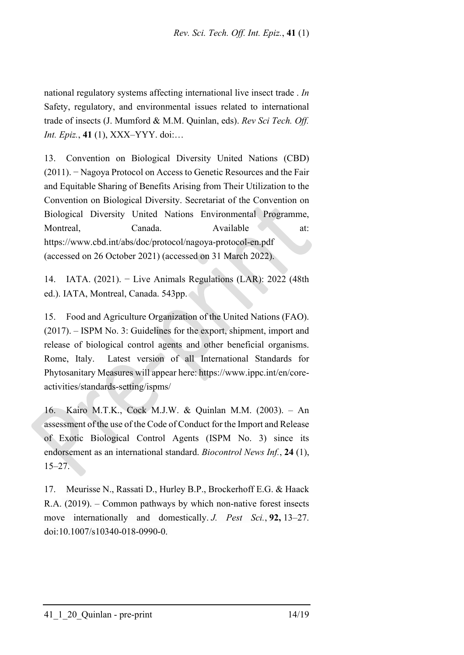national regulatory systems affecting international live insect trade . *In*  Safety, regulatory, and environmental issues related to international trade of insects (J. Mumford & M.M. Quinlan, eds). *Rev Sci Tech. Off. Int. Epiz.*, **41** (1), XXX–YYY. doi:…

13. Convention on Biological Diversity United Nations (CBD) (2011). − Nagoya Protocol on Access to Genetic Resources and the Fair and Equitable Sharing of Benefits Arising from Their Utilization to the Convention on Biological Diversity. Secretariat of the Convention on Biological Diversity United Nations Environmental Programme, Montreal, Canada. Available at: https://www.cbd.int/abs/doc/protocol/nagoya-protocol-en.pdf (accessed on 26 October 2021) (accessed on 31 March 2022).

14. IATA. (2021). − Live Animals Regulations (LAR): 2022 (48th ed.). IATA, Montreal, Canada. 543pp.

15. Food and Agriculture Organization of the United Nations (FAO). (2017). – ISPM No. 3: Guidelines for the export, shipment, import and release of biological control agents and other beneficial organisms. Rome, Italy. Latest version of all International Standards for Phytosanitary Measures will appear here: https://www.ippc.int/en/coreactivities/standards-setting/ispms/

16. Kairo M.T.K., Cock M.J.W. & Quinlan M.M. (2003). – An assessment of the use of the Code of Conduct for the Import and Release of Exotic Biological Control Agents (ISPM No. 3) since its endorsement as an international standard. *Biocontrol News Inf.*, **24** (1),  $15-27.$ 

17. Meurisse N., Rassati D., Hurley B.P., Brockerhoff E.G. & Haack R.A. (2019). – Common pathways by which non-native forest insects move internationally and domestically. *J. Pest Sci.*, **92,** 13–27. doi:10.1007/s10340-018-0990-0.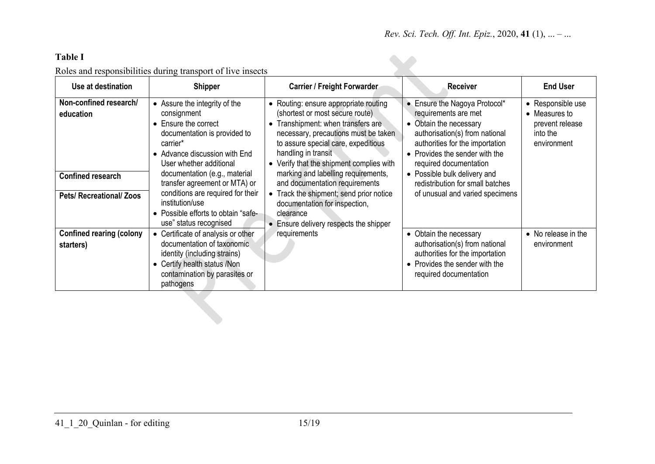### **Table I**

Roles and responsibilities during transport of live insects

| Use at destination                                                                                 | <b>Shipper</b>                                                                                                                                                                                                                                                                                                                                                          | <b>Carrier / Freight Forwarder</b>                                                                                                                                                                                                                                                                                                                                                                                                                                     | <b>Receiver</b>                                                                                                                                                                                                                                                                                                                    | <b>End User</b>                                                                  |
|----------------------------------------------------------------------------------------------------|-------------------------------------------------------------------------------------------------------------------------------------------------------------------------------------------------------------------------------------------------------------------------------------------------------------------------------------------------------------------------|------------------------------------------------------------------------------------------------------------------------------------------------------------------------------------------------------------------------------------------------------------------------------------------------------------------------------------------------------------------------------------------------------------------------------------------------------------------------|------------------------------------------------------------------------------------------------------------------------------------------------------------------------------------------------------------------------------------------------------------------------------------------------------------------------------------|----------------------------------------------------------------------------------|
| Non-confined research/<br>education<br><b>Confined research</b><br><b>Pets/ Recreational/ Zoos</b> | • Assure the integrity of the<br>consignment<br>• Ensure the correct<br>documentation is provided to<br>carrier*<br>• Advance discussion with End<br>User whether additional<br>documentation (e.g., material<br>transfer agreement or MTA) or<br>conditions are required for their<br>institution/use<br>• Possible efforts to obtain "safe-<br>use" status recognised | Routing: ensure appropriate routing<br>(shortest or most secure route)<br>Transhipment: when transfers are<br>necessary, precautions must be taken<br>to assure special care, expeditious<br>handling in transit<br>• Verify that the shipment complies with<br>marking and labelling requirements,<br>and documentation requirements<br>• Track the shipment; send prior notice<br>documentation for inspection,<br>clearance<br>Ensure delivery respects the shipper | • Ensure the Nagoya Protocol*<br>requirements are met<br>Obtain the necessary<br>$\bullet$<br>authorisation(s) from national<br>authorities for the importation<br>• Provides the sender with the<br>required documentation<br>• Possible bulk delivery and<br>redistribution for small batches<br>of unusual and varied specimens | • Responsible use<br>• Measures to<br>prevent release<br>into the<br>environment |
| <b>Confined rearing (colony</b><br>starters)                                                       | • Certificate of analysis or other<br>documentation of taxonomic<br>identity (including strains)<br>• Certify health status /Non<br>contamination by parasites or<br>pathogens                                                                                                                                                                                          | requirements                                                                                                                                                                                                                                                                                                                                                                                                                                                           | • Obtain the necessary<br>authorisation(s) from national<br>authorities for the importation<br>• Provides the sender with the<br>required documentation                                                                                                                                                                            | • No release in the<br>environment                                               |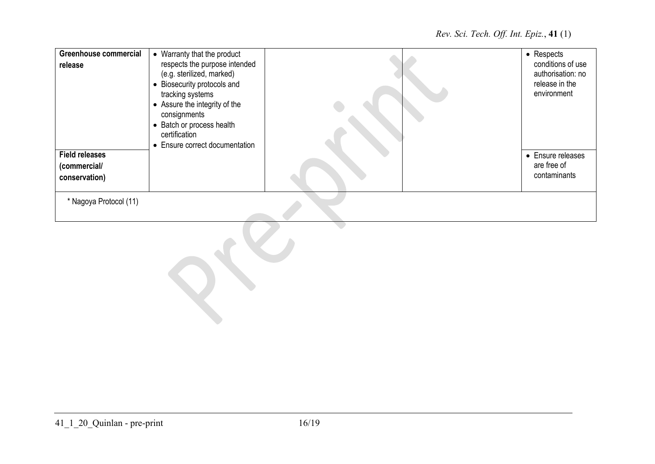*Rev. Sci. Tech. Off. Int. Epiz.*, **41** (1)

| <b>Greenhouse commercial</b><br>release                | • Warranty that the product<br>respects the purpose intended<br>(e.g. sterilized, marked)<br>• Biosecurity protocols and<br>tracking systems<br>• Assure the integrity of the<br>consignments<br>• Batch or process health<br>certification<br>• Ensure correct documentation |  | • Respects<br>conditions of use<br>authorisation: no<br>release in the<br>environment |
|--------------------------------------------------------|-------------------------------------------------------------------------------------------------------------------------------------------------------------------------------------------------------------------------------------------------------------------------------|--|---------------------------------------------------------------------------------------|
| <b>Field releases</b><br>(commercial/<br>conservation) |                                                                                                                                                                                                                                                                               |  | • Ensure releases<br>are free of<br>contaminants                                      |
| * Nagoya Protocol (11)                                 |                                                                                                                                                                                                                                                                               |  |                                                                                       |
|                                                        |                                                                                                                                                                                                                                                                               |  |                                                                                       |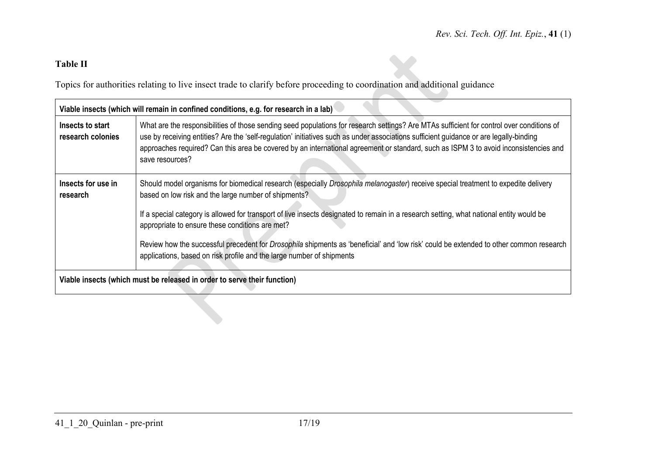# **Table II**

Topics for authorities relating to live insect trade to clarify before proceeding to coordination and additional guidance

| Viable insects (which will remain in confined conditions, e.g. for research in a lab) |                                                                                                                                                                                                                                                                                                                                                                                                                                                |  |  |  |
|---------------------------------------------------------------------------------------|------------------------------------------------------------------------------------------------------------------------------------------------------------------------------------------------------------------------------------------------------------------------------------------------------------------------------------------------------------------------------------------------------------------------------------------------|--|--|--|
| Insects to start<br>research colonies                                                 | What are the responsibilities of those sending seed populations for research settings? Are MTAs sufficient for control over conditions of<br>use by receiving entities? Are the 'self-regulation' initiatives such as under associations sufficient guidance or are legally-binding<br>approaches required? Can this area be covered by an international agreement or standard, such as ISPM 3 to avoid inconsistencies and<br>save resources? |  |  |  |
| Insects for use in<br>research                                                        | Should model organisms for biomedical research (especially Drosophila melanogaster) receive special treatment to expedite delivery<br>based on low risk and the large number of shipments?<br>If a special category is allowed for transport of live insects designated to remain in a research setting, what national entity would be<br>appropriate to ensure these conditions are met?                                                      |  |  |  |
|                                                                                       | Review how the successful precedent for <i>Drosophila</i> shipments as 'beneficial' and 'low risk' could be extended to other common research<br>applications, based on risk profile and the large number of shipments                                                                                                                                                                                                                         |  |  |  |
| Viable insects (which must be released in order to serve their function)              |                                                                                                                                                                                                                                                                                                                                                                                                                                                |  |  |  |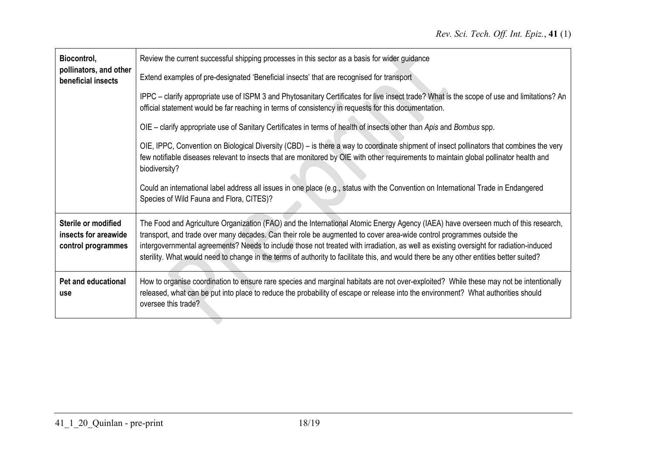| Biocontrol,<br>pollinators, and other<br>beneficial insects       | Review the current successful shipping processes in this sector as a basis for wider guidance                                                                                                                                                                                                                                                                                                                                                                                                                                                    |  |  |
|-------------------------------------------------------------------|--------------------------------------------------------------------------------------------------------------------------------------------------------------------------------------------------------------------------------------------------------------------------------------------------------------------------------------------------------------------------------------------------------------------------------------------------------------------------------------------------------------------------------------------------|--|--|
|                                                                   | Extend examples of pre-designated 'Beneficial insects' that are recognised for transport                                                                                                                                                                                                                                                                                                                                                                                                                                                         |  |  |
|                                                                   | IPPC – clarify appropriate use of ISPM 3 and Phytosanitary Certificates for live insect trade? What is the scope of use and limitations? An<br>official statement would be far reaching in terms of consistency in requests for this documentation.                                                                                                                                                                                                                                                                                              |  |  |
|                                                                   | OIE – clarify appropriate use of Sanitary Certificates in terms of health of insects other than Apis and Bombus spp.                                                                                                                                                                                                                                                                                                                                                                                                                             |  |  |
|                                                                   | OIE, IPPC, Convention on Biological Diversity (CBD) – is there a way to coordinate shipment of insect pollinators that combines the very<br>few notifiable diseases relevant to insects that are monitored by OIE with other requirements to maintain global pollinator health and<br>biodiversity?                                                                                                                                                                                                                                              |  |  |
|                                                                   | Could an international label address all issues in one place (e.g., status with the Convention on International Trade in Endangered<br>Species of Wild Fauna and Flora, CITES)?                                                                                                                                                                                                                                                                                                                                                                  |  |  |
| Sterile or modified<br>insects for areawide<br>control programmes | The Food and Agriculture Organization (FAO) and the International Atomic Energy Agency (IAEA) have overseen much of this research,<br>transport, and trade over many decades. Can their role be augmented to cover area-wide control programmes outside the<br>intergovernmental agreements? Needs to include those not treated with irradiation, as well as existing oversight for radiation-induced<br>sterility. What would need to change in the terms of authority to facilitate this, and would there be any other entities better suited? |  |  |
| Pet and educational<br>use                                        | How to organise coordination to ensure rare species and marginal habitats are not over-exploited? While these may not be intentionally<br>released, what can be put into place to reduce the probability of escape or release into the environment? What authorities should<br>oversee this trade?                                                                                                                                                                                                                                               |  |  |